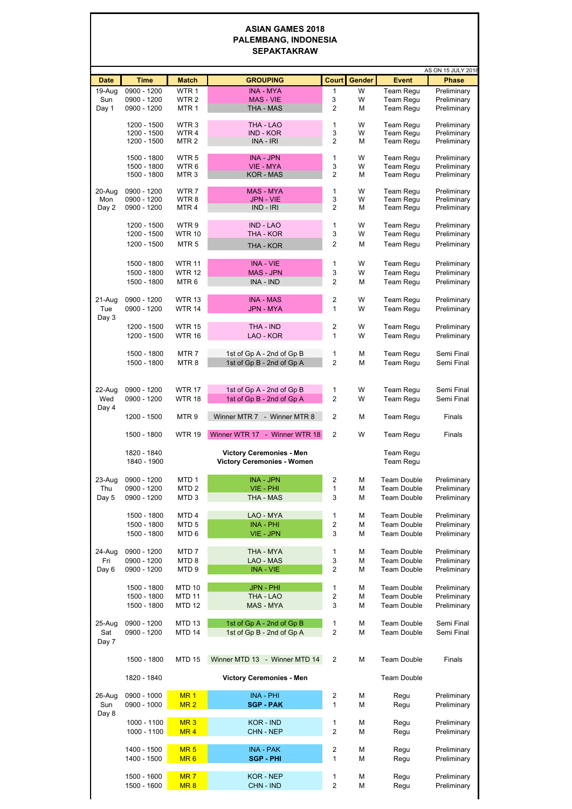## **ASIAN GAMES 2018 PALEMBANG, INDONESIA SEPAKTAKRAW**

|               |                            |                                      |                                                        |                     |        |                                          | AS ON 15 JULY 2018         |
|---------------|----------------------------|--------------------------------------|--------------------------------------------------------|---------------------|--------|------------------------------------------|----------------------------|
| <b>Date</b>   | <b>Time</b>                | <b>Match</b>                         | <b>GROUPING</b>                                        | <b>Court</b>        | Gender | <b>Event</b>                             | <b>Phase</b>               |
| 19-Aug        | 0900 - 1200                | WTR <sub>1</sub>                     | <b>INA - MYA</b><br>MAS - VIE                          | 1                   | W<br>W | Team Regu                                | Preliminary                |
| Sun<br>Day 1  | 0900 - 1200<br>0900 - 1200 | WTR <sub>2</sub><br>MTR <sub>1</sub> | THA - MAS                                              | 3<br>$\overline{2}$ | М      | Team Regu<br>Team Regu                   | Preliminary<br>Preliminary |
|               |                            |                                      |                                                        |                     |        |                                          |                            |
|               | 1200 - 1500<br>1200 - 1500 | WTR 3<br>WTR 4                       | THA - LAO<br>IND - KOR                                 | 1<br>3              | W<br>W | Team Regu<br>Team Regu                   | Preliminary<br>Preliminary |
|               | 1200 - 1500                | MTR <sub>2</sub>                     | INA - IRI                                              | $\overline{2}$      | М      | Team Regu                                | Preliminary                |
|               | 1500 - 1800                | WTR 5                                | <b>INA - JPN</b>                                       | 1                   | W      | Team Requ                                | Preliminary                |
|               | 1500 - 1800                | WTR <sub>6</sub>                     | <b>VIE - MYA</b>                                       | 3                   | W      | Team Regu                                | Preliminary                |
|               | 1500 - 1800                | MTR <sub>3</sub>                     | KOR - MAS                                              | $\overline{2}$      | М      | Team Regu                                | Preliminary                |
| 20-Aug        | 0900 - 1200                | WTR <sub>7</sub>                     | <b>MAS - MYA</b>                                       | 1                   | W      | Team Regu                                | Preliminary                |
| Mon           | 0900 - 1200                | WTR <sub>8</sub>                     | JPN - VIE                                              | 3                   | W      | Team Regu                                | Preliminary                |
| Day 2         | 0900 - 1200                | MTR4                                 | $IND - IRI$                                            | $\overline{2}$      | М      | Team Regu                                | Preliminary                |
|               | 1200 - 1500                | WTR <sub>9</sub>                     | IND - LAO                                              | 1                   | W      | Team Regu                                | Preliminary                |
|               | 1200 - 1500                | <b>WTR 10</b>                        | THA - KOR                                              | 3                   | W      | Team Regu                                | Preliminary                |
|               | 1200 - 1500                | MTR <sub>5</sub>                     | THA - KOR                                              | $\overline{2}$      | М      | Team Regu                                | Preliminary                |
|               |                            |                                      |                                                        |                     |        |                                          |                            |
|               | 1500 - 1800<br>1500 - 1800 | <b>WTR 11</b><br><b>WTR 12</b>       | <b>INA - VIE</b><br><b>MAS - JPN</b>                   | 1<br>3              | W<br>W | Team Regu<br>Team Regu                   | Preliminary<br>Preliminary |
|               | 1500 - 1800                | MTR <sub>6</sub>                     | INA - IND                                              | $\overline{2}$      | М      | Team Requ                                | Preliminary                |
|               |                            |                                      |                                                        |                     |        |                                          |                            |
| 21-Aug<br>Tue | 0900 - 1200<br>0900 - 1200 | <b>WTR 13</b>                        | <b>INA - MAS</b><br><b>JPN - MYA</b>                   | 2<br>$\mathbf{1}$   | W<br>W | Team Regu                                | Preliminary<br>Preliminary |
| Day 3         |                            | <b>WTR 14</b>                        |                                                        |                     |        | Team Regu                                |                            |
|               | 1200 - 1500                | <b>WTR 15</b>                        | THA - IND                                              | 2                   | W      | Team Regu                                | Preliminary                |
|               | 1200 - 1500                | <b>WTR 16</b>                        | LAO - KOR                                              | $\mathbf{1}$        | W      | Team Regu                                | Preliminary                |
|               | 1500 - 1800                | MTR <sub>7</sub>                     | 1st of Gp A - 2nd of Gp B                              | 1                   | М      | Team Regu                                | Semi Final                 |
|               | 1500 - 1800                | MTR <sub>8</sub>                     | 1st of Gp B - 2nd of Gp A                              | 2                   | М      | Team Regu                                | Semi Final                 |
|               |                            |                                      |                                                        |                     |        |                                          |                            |
| 22-Aug        | 0900 - 1200                | <b>WTR 17</b>                        | 1st of Gp A - 2nd of Gp B                              | 1                   | W      | Team Regu                                | Semi Final                 |
| Wed           | 0900 - 1200                | <b>WTR 18</b>                        | 1st of Gp B - 2nd of Gp A                              | $\overline{2}$      | W      | Team Regu                                | Semi Final                 |
| Day 4         |                            |                                      |                                                        |                     |        |                                          |                            |
|               | 1200 - 1500                | MTR <sub>9</sub>                     | Winner MTR 7 - Winner MTR 8                            | 2                   | М      | Team Regu                                | Finals                     |
|               | 1500 - 1800                | <b>WTR 19</b>                        | Winner WTR 17 - Winner WTR 18                          | 2                   | W      | Team Regu                                | Finals                     |
|               |                            |                                      |                                                        |                     |        |                                          |                            |
|               | 1820 - 1840                |                                      | <b>Victory Ceremonies - Men</b>                        |                     |        | Team Regu                                |                            |
|               | 1840 - 1900                |                                      | <b>Victory Ceremonies - Women</b>                      |                     |        | Team Regu                                |                            |
| 23-Aug        | 0900 - 1200                | MTD <sub>1</sub>                     | <b>INA - JPN</b>                                       | 2                   | M      | <b>Team Double</b>                       | Preliminary                |
| Thu           | 0900 - 1200                | MTD <sub>2</sub>                     | VIE - PHI                                              | 1                   | М      | Team Double                              | Preliminary                |
| Day 5         | 0900 - 1200                | MTD <sub>3</sub>                     | THA - MAS                                              | 3                   | М      | <b>Team Double</b>                       | Preliminary                |
|               | 1500 - 1800                | MTD <sub>4</sub>                     | LAO - MYA                                              | 1                   | М      | <b>Team Double</b>                       | Preliminary                |
|               | 1500 - 1800                | MTD <sub>5</sub>                     | <b>INA - PHI</b>                                       | $\overline{2}$      | М      | <b>Team Double</b>                       | Preliminary                |
|               | 1500 - 1800                | MTD <sub>6</sub>                     | VIE - JPN                                              | 3                   | М      | Team Double                              | Preliminary                |
| 24-Aug        | 0900 - 1200                | MTD <sub>7</sub>                     | THA - MYA                                              | 1                   | М      | <b>Team Double</b>                       | Preliminary                |
| Fri           | 0900 - 1200                | MTD <sub>8</sub>                     | LAO - MAS                                              | 3                   | М      | <b>Team Double</b>                       | Preliminary                |
| Day 6         | 0900 - 1200                | MTD <sub>9</sub>                     | INA - VIE                                              | $\overline{2}$      | М      | Team Double                              | Preliminary                |
|               | 1500 - 1800                | <b>MTD 10</b>                        | <b>JPN - PHI</b>                                       | 1                   | М      | <b>Team Double</b>                       | Preliminary                |
|               | 1500 - 1800                | <b>MTD 11</b>                        | THA - LAO                                              | $\overline{2}$      | М      | <b>Team Double</b>                       | Preliminary                |
|               | 1500 - 1800                | <b>MTD 12</b>                        | MAS - MYA                                              | 3                   | М      | Team Double                              | Preliminary                |
|               |                            |                                      |                                                        |                     |        |                                          |                            |
| 25-Aug<br>Sat | 0900 - 1200<br>0900 - 1200 | <b>MTD 13</b><br><b>MTD 14</b>       | 1st of Gp A - 2nd of Gp B<br>1st of Gp B - 2nd of Gp A | 1<br>$\overline{2}$ | М<br>М | <b>Team Double</b><br><b>Team Double</b> | Semi Final<br>Semi Final   |
| Day 7         |                            |                                      |                                                        |                     |        |                                          |                            |
|               |                            |                                      |                                                        |                     |        |                                          |                            |
|               | 1500 - 1800                | <b>MTD 15</b>                        | Winner MTD 13 - Winner MTD 14                          | 2                   | М      | <b>Team Double</b>                       | Finals                     |
|               | 1820 - 1840                |                                      | <b>Victory Ceremonies - Men</b>                        |                     |        | <b>Team Double</b>                       |                            |
|               |                            |                                      |                                                        |                     |        |                                          |                            |
| 26-Aug        | 0900 - 1000                | MR <sub>1</sub>                      | <b>INA - PHI</b>                                       | 2<br>$\mathbf{1}$   | М<br>М | Regu                                     | Preliminary                |
| Sun<br>Day 8  | 0900 - 1000                | MR <sub>2</sub>                      | <b>SGP - PAK</b>                                       |                     |        | Regu                                     | Preliminary                |
|               | 1000 - 1100                | MR <sub>3</sub>                      | KOR - IND                                              | 1                   | М      | Regu                                     | Preliminary                |
|               | 1000 - 1100                | MR <sub>4</sub>                      | CHN - NEP                                              | $\overline{2}$      | М      | Regu                                     | Preliminary                |
|               | 1400 - 1500                | MR <sub>5</sub>                      | <b>INA - PAK</b>                                       | $\overline{2}$      | М      | Regu                                     | Preliminary                |
|               | 1400 - 1500                | MR <sub>6</sub>                      | SGP - PHI                                              | $\mathbf{1}$        | М      | Regu                                     | Preliminary                |
|               |                            |                                      |                                                        |                     |        |                                          |                            |
|               | 1500 - 1600                | MR <sub>7</sub>                      | KOR - NEP                                              | 1<br>$\overline{2}$ | М      | Regu                                     | Preliminary                |
|               | 1500 - 1600                | MR <sub>8</sub>                      | CHN - IND                                              |                     | М      | Regu                                     | Preliminary                |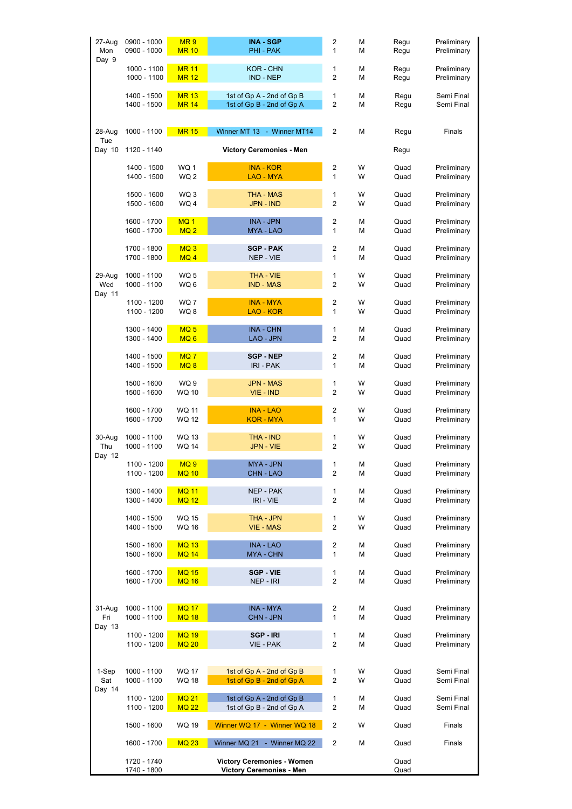| 27-Aug<br>Mon<br>Day 9  | 0900 - 1000<br>0900 - 1000 | MR <sub>9</sub><br><b>MR 10</b> | <b>INA - SGP</b><br>PHI - PAK                                        | 2<br>1                  | М<br>М | Regu<br>Regu | Preliminary<br>Preliminary |
|-------------------------|----------------------------|---------------------------------|----------------------------------------------------------------------|-------------------------|--------|--------------|----------------------------|
|                         | 1000 - 1100                | <b>MR 11</b>                    | KOR - CHN                                                            | 1                       | М      | Regu         | Preliminary                |
|                         | 1000 - 1100                | <b>MR 12</b>                    | IND - NEP                                                            | 2                       | М      | Regu         | Preliminary                |
|                         | 1400 - 1500                | <b>MR 13</b>                    | 1st of Gp A - 2nd of Gp B                                            | 1                       | М      | Regu         | Semi Final                 |
|                         | 1400 - 1500                | <b>MR 14</b>                    | 1st of Gp B - 2nd of Gp A                                            | 2                       | М      | Regu         | Semi Final                 |
| 28-Aug<br>Tue           | 1000 - 1100                | <b>MR 15</b>                    | Winner MT 13 - Winner MT14                                           | 2                       | М      | Regu         | Finals                     |
| Day 10                  | 1120 - 1140                |                                 | <b>Victory Ceremonies - Men</b>                                      |                         |        | Regu         |                            |
|                         | 1400 - 1500                | WQ 1                            | <b>INA - KOR</b>                                                     | 2                       | W      | Quad         | Preliminary                |
|                         | 1400 - 1500                | WQ <sub>2</sub>                 | <b>LAO - MYA</b>                                                     | 1                       | W      | Quad         | Preliminary                |
|                         | 1500 - 1600                | WQ 3                            | <b>THA - MAS</b>                                                     | 1                       | W      | Quad         | Preliminary                |
|                         | 1500 - 1600                | WQ 4                            | JPN - IND                                                            | $\overline{2}$          | W      | Quad         | Preliminary                |
|                         | 1600 - 1700                | MQ <sub>1</sub>                 | INA - JPN                                                            | 2                       | М      | Quad         | Preliminary                |
|                         | 1600 - 1700                | MQ <sub>2</sub>                 | MYA - LAO                                                            | $\mathbf{1}$            | M      | Quad         | Preliminary                |
|                         | 1700 - 1800                | MQ <sub>3</sub>                 | <b>SGP - PAK</b>                                                     | 2                       | М      | Quad         | Preliminary                |
|                         | 1700 - 1800                | MQ4                             | NEP - VIE                                                            | 1                       | М      | Quad         | Preliminary                |
| 29-Aug                  | 1000 - 1100                | WQ 5                            | THA - VIE                                                            | 1                       | W      | Quad         | Preliminary                |
| Wed                     | 1000 - 1100                | WQ 6                            | <b>IND - MAS</b>                                                     | $\overline{c}$          | W      | Quad         | Preliminary                |
| Day 11                  | 1100 - 1200                | WQ7                             | <b>INA - MYA</b>                                                     | 2                       | W      | Quad         | Preliminary                |
|                         | 1100 - 1200                | WQ8                             | LAO - KOR                                                            | 1                       | W      | Quad         | Preliminary                |
|                         | 1300 - 1400                | MQ <sub>5</sub>                 | <b>INA - CHN</b>                                                     | 1                       | М      | Quad         | Preliminary                |
|                         | 1300 - 1400                | MQ <sub>6</sub>                 | LAO - JPN                                                            | 2                       | М      | Quad         | Preliminary                |
|                         | 1400 - 1500                | MQ7                             | <b>SGP - NEP</b>                                                     | 2                       | М      | Quad         | Preliminary                |
|                         | 1400 - 1500                | MQ <sub>8</sub>                 | IRI - PAK                                                            | 1                       | М      | Quad         | Preliminary                |
|                         | 1500 - 1600                | WQ 9                            | <b>JPN - MAS</b>                                                     | 1                       | W      | Quad         | Preliminary                |
|                         | 1500 - 1600                | WQ 10                           | VIE - IND                                                            | $\overline{c}$          | W      | Quad         | Preliminary                |
|                         | 1600 - 1700                | <b>WQ 11</b>                    | <b>INA - LAO</b>                                                     | 2                       | W      | Quad         | Preliminary                |
|                         | 1600 - 1700                | WQ 12                           | KOR - MYA                                                            | $\mathbf{1}$            | W      | Quad         | Preliminary                |
| 30-Aug<br>Thu<br>Day 12 | 1000 - 1100<br>1000 - 1100 | WQ 13<br>WQ 14                  | THA - IND<br>JPN - VIE                                               | 1<br>$\overline{2}$     | W<br>W | Quad<br>Quad | Preliminary<br>Preliminary |
|                         | 1100 - 1200                | MQ <sub>9</sub>                 | MYA - JPN                                                            | 1                       | М      | Quad         | Preliminary                |
|                         | 1100 - 1200                | <b>MQ 10</b>                    | <b>CHN - LAO</b>                                                     | $\overline{c}$          | М      | Quad         | Preliminary                |
|                         | 1300 - 1400                | <b>MQ 11</b>                    | NEP - PAK                                                            | 1                       | М      | Quad         | Preliminary                |
|                         | 1300 - 1400                | <b>MQ 12</b>                    | IRI - VIE                                                            | 2                       | М      | Quad         | Preliminary                |
|                         | 1400 - 1500                | <b>WQ 15</b>                    | THA - JPN                                                            | 1                       | W      | Quad         | Preliminary                |
|                         | 1400 - 1500                | <b>WQ 16</b>                    | <b>VIE - MAS</b>                                                     | 2                       | W      | Quad         | Preliminary                |
|                         | 1500 - 1600                | <b>MQ 13</b>                    | <b>INA - LAO</b>                                                     | 2                       | М      | Quad         | Preliminary                |
|                         | 1500 - 1600                | <b>MQ 14</b>                    | MYA - CHN                                                            | 1                       | М      | Quad         | Preliminary                |
|                         | 1600 - 1700                | <b>MQ 15</b>                    | <b>SGP - VIE</b>                                                     | 1                       | М      | Quad         | Preliminary                |
|                         | 1600 - 1700                | <b>MQ 16</b>                    | NEP - IRI                                                            | $\overline{\mathbf{c}}$ | М      | Quad         | Preliminary                |
| 31-Aug                  | 1000 - 1100                | <b>MQ 17</b>                    | <b>INA - MYA</b>                                                     | 2                       | М      | Quad         | Preliminary                |
| Fri<br>Day 13           | 1000 - 1100                | <b>MQ 18</b>                    | CHN - JPN                                                            | 1                       | М      | Quad         | Preliminary                |
|                         | 1100 - 1200                | <b>MQ 19</b>                    | SGP-IRI                                                              | 1                       | М      | Quad         | Preliminary                |
|                         | 1100 - 1200                | <b>MQ 20</b>                    | VIE - PAK                                                            | $\overline{c}$          | М      | Quad         | Preliminary                |
| 1-Sep                   | 1000 - 1100                | <b>WQ 17</b>                    | 1st of Gp A - 2nd of Gp B                                            | 1                       | W      | Quad         | Semi Final                 |
| Sat                     | 1000 - 1100                | <b>WQ 18</b>                    | 1st of Gp B - 2nd of Gp A                                            | $\overline{c}$          | W      | Quad         | Semi Final                 |
| Day 14                  | 1100 - 1200                | <b>MQ 21</b>                    | 1st of Gp A - 2nd of Gp B                                            | 1                       | М      | Quad         | Semi Final                 |
|                         | 1100 - 1200                | <b>MQ 22</b>                    | 1st of Gp B - 2nd of Gp A                                            | 2                       | М      | Quad         | Semi Final                 |
|                         | 1500 - 1600                | WQ 19                           | Winner WQ 17 - Winner WQ 18                                          | 2                       | W      | Quad         | Finals                     |
|                         | 1600 - 1700                | <b>MQ 23</b>                    | Winner MQ 21 - Winner MQ 22                                          | 2                       | М      | Quad         | Finals                     |
|                         | 1720 - 1740<br>1740 - 1800 |                                 | <b>Victory Ceremonies - Women</b><br><b>Victory Ceremonies - Men</b> |                         |        | Quad<br>Quad |                            |